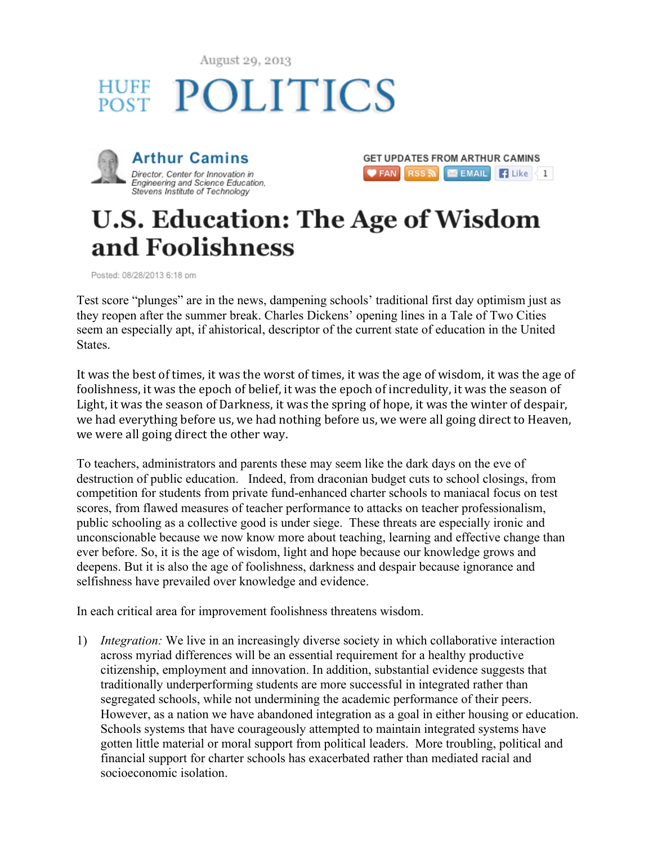August 29, 2013







## **U.S. Education: The Age of Wisdom** and Foolishness

Posted: 08/28/2013 6:18 pm

Test score "plunges" are in the news, dampening schools' traditional first day optimism just as they reopen after the summer break. Charles Dickens' opening lines in a Tale of Two Cities seem an especially apt, if ahistorical, descriptor of the current state of education in the United **States**.

It was the best of times, it was the worst of times, it was the age of wisdom, it was the age of foolishness, it was the epoch of belief, it was the epoch of incredulity, it was the season of Light, it was the season of Darkness, it was the spring of hope, it was the winter of despair, we had everything before us, we had nothing before us, we were all going direct to Heaven, we were all going direct the other way.

To teachers, administrators and parents these may seem like the dark days on the eve of destruction of public education. Indeed, from draconian budget cuts to school closings, from competition for students from private fund-enhanced charter schools to maniacal focus on test scores, from flawed measures of teacher performance to attacks on teacher professionalism, public schooling as a collective good is under siege. These threats are especially ironic and unconscionable because we now know more about teaching, learning and effective change than ever before. So, it is the age of wisdom, light and hope because our knowledge grows and deepens. But it is also the age of foolishness, darkness and despair because ignorance and selfishness have prevailed over knowledge and evidence.

In each critical area for improvement foolishness threatens wisdom.

1) *Integration:* We live in an increasingly diverse society in which collaborative interaction across myriad differences will be an essential requirement for a healthy productive citizenship, employment and innovation. In addition, substantial evidence suggests that traditionally underperforming students are more successful in integrated rather than segregated schools, while not undermining the academic performance of their peers. However, as a nation we have abandoned integration as a goal in either housing or education. Schools systems that have courageously attempted to maintain integrated systems have gotten little material or moral support from political leaders. More troubling, political and financial support for charter schools has exacerbated rather than mediated racial and socioeconomic isolation.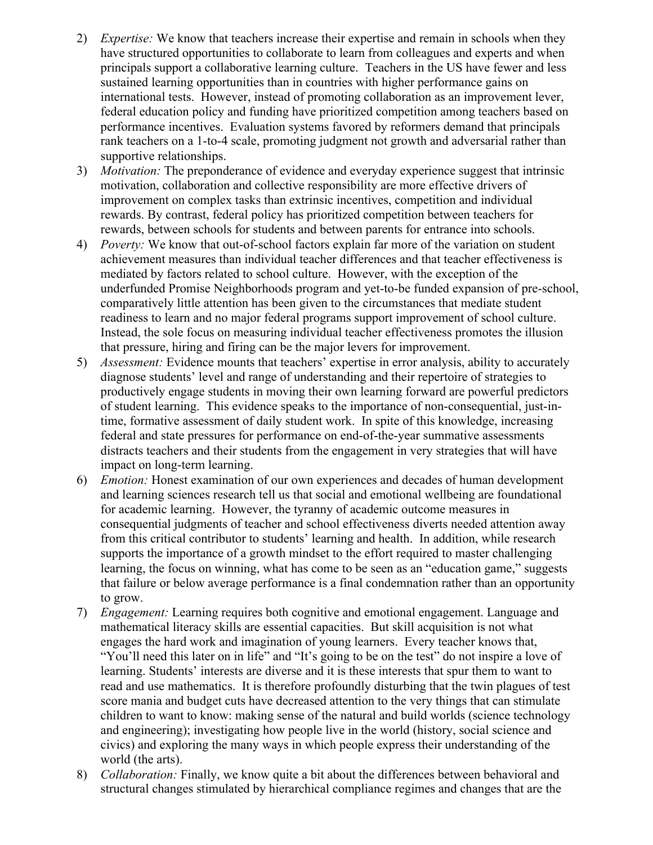- 2) *Expertise:* We know that teachers increase their expertise and remain in schools when they have structured opportunities to collaborate to learn from colleagues and experts and when principals support a collaborative learning culture. Teachers in the US have fewer and less sustained learning opportunities than in countries with higher performance gains on international tests. However, instead of promoting collaboration as an improvement lever, federal education policy and funding have prioritized competition among teachers based on performance incentives. Evaluation systems favored by reformers demand that principals rank teachers on a 1-to-4 scale, promoting judgment not growth and adversarial rather than supportive relationships.
- 3) *Motivation:* The preponderance of evidence and everyday experience suggest that intrinsic motivation, collaboration and collective responsibility are more effective drivers of improvement on complex tasks than extrinsic incentives, competition and individual rewards. By contrast, federal policy has prioritized competition between teachers for rewards, between schools for students and between parents for entrance into schools.
- 4) *Poverty:* We know that out-of-school factors explain far more of the variation on student achievement measures than individual teacher differences and that teacher effectiveness is mediated by factors related to school culture. However, with the exception of the underfunded Promise Neighborhoods program and yet-to-be funded expansion of pre-school, comparatively little attention has been given to the circumstances that mediate student readiness to learn and no major federal programs support improvement of school culture. Instead, the sole focus on measuring individual teacher effectiveness promotes the illusion that pressure, hiring and firing can be the major levers for improvement.
- 5) *Assessment:* Evidence mounts that teachers' expertise in error analysis, ability to accurately diagnose students' level and range of understanding and their repertoire of strategies to productively engage students in moving their own learning forward are powerful predictors of student learning. This evidence speaks to the importance of non-consequential, just-intime, formative assessment of daily student work. In spite of this knowledge, increasing federal and state pressures for performance on end-of-the-year summative assessments distracts teachers and their students from the engagement in very strategies that will have impact on long-term learning.
- 6) *Emotion:* Honest examination of our own experiences and decades of human development and learning sciences research tell us that social and emotional wellbeing are foundational for academic learning. However, the tyranny of academic outcome measures in consequential judgments of teacher and school effectiveness diverts needed attention away from this critical contributor to students' learning and health. In addition, while research supports the importance of a growth mindset to the effort required to master challenging learning, the focus on winning, what has come to be seen as an "education game," suggests that failure or below average performance is a final condemnation rather than an opportunity to grow.
- 7) *Engagement:* Learning requires both cognitive and emotional engagement. Language and mathematical literacy skills are essential capacities. But skill acquisition is not what engages the hard work and imagination of young learners. Every teacher knows that, "You'll need this later on in life" and "It's going to be on the test" do not inspire a love of learning. Students' interests are diverse and it is these interests that spur them to want to read and use mathematics. It is therefore profoundly disturbing that the twin plagues of test score mania and budget cuts have decreased attention to the very things that can stimulate children to want to know: making sense of the natural and build worlds (science technology and engineering); investigating how people live in the world (history, social science and civics) and exploring the many ways in which people express their understanding of the world (the arts).
- 8) *Collaboration:* Finally, we know quite a bit about the differences between behavioral and structural changes stimulated by hierarchical compliance regimes and changes that are the